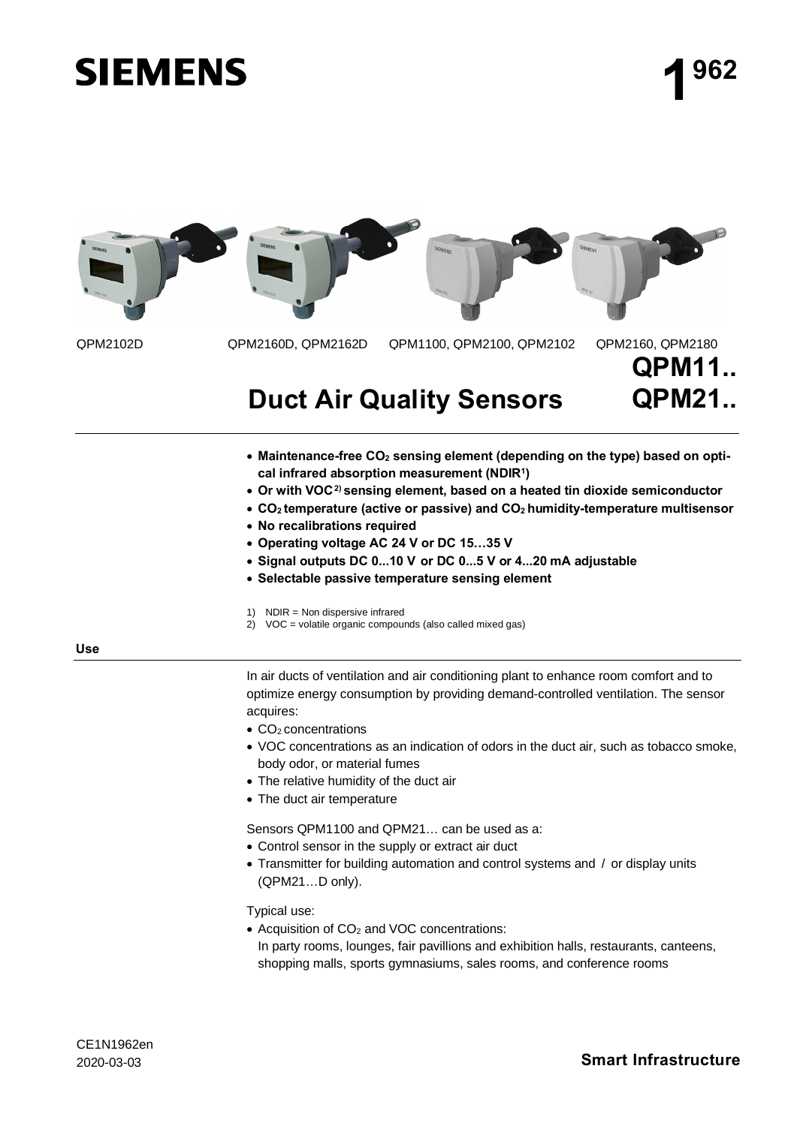# **SIEMENS**



## **Duct Air Quality Sensors**

- · **Maintenance-free CO2 sensing element (depending on the type) based on optical infrared absorption measurement (NDIR<sup>1</sup> )**
- · **Or with VOC2) sensing element, based on a heated tin dioxide semiconductor**
- · **CO<sup>2</sup> temperature (active or passive) and CO<sup>2</sup> humidity-temperature multisensor**
- · **No recalibrations required**
- · **Operating voltage AC 24 V or DC 15…35 V**
- · **Signal outputs DC 0...10 V or DC 0...5 V or 4...20 mA adjustable**
- · **Selectable passive temperature sensing element**

1)  $NDIR = Non dispersive infrared$ 

 $2$ ) VOC = volatile organic compounds (also called mixed gas)

**Use**

In air ducts of ventilation and air conditioning plant to enhance room comfort and to optimize energy consumption by providing demand-controlled ventilation. The sensor acquires:

- $\bullet$  CO<sub>2</sub> concentrations
- · VOC concentrations as an indication of odors in the duct air, such as tobacco smoke, body odor, or material fumes
- · The relative humidity of the duct air
- The duct air temperature

Sensors QPM1100 and QPM21… can be used as a:

- Control sensor in the supply or extract air duct
- · Transmitter for building automation and control systems and / or display units (QPM21…D only).

Typical use:

- $\bullet$  Acquisition of CO<sub>2</sub> and VOC concentrations:
- In party rooms, lounges, fair pavillions and exhibition halls, restaurants, canteens, shopping malls, sports gymnasiums, sales rooms, and conference rooms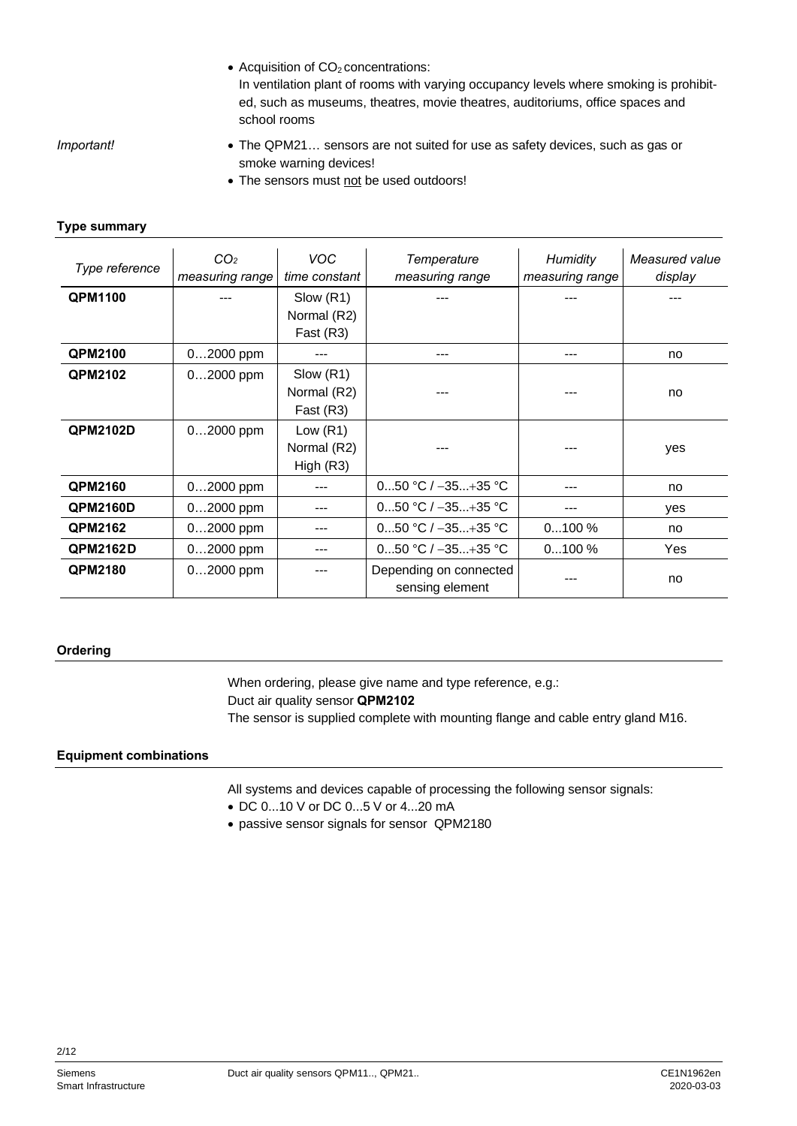• Acquisition of  $CO<sub>2</sub>$  concentrations:

In ventilation plant of rooms with varying occupancy levels where smoking is prohibited, such as museums, theatres, movie theatres, auditoriums, office spaces and school rooms

*Important!*

- · The QPM21… sensors are not suited for use as safety devices, such as gas or smoke warning devices!
- The sensors must not be used outdoors!

#### **Type summary**

| Type reference  | CO <sub>2</sub><br>measuring range | <b>VOC</b><br>time constant              | Temperature<br>measuring range            | <b>Humidity</b><br>measuring range | Measured value<br>display |
|-----------------|------------------------------------|------------------------------------------|-------------------------------------------|------------------------------------|---------------------------|
| <b>QPM1100</b>  |                                    | Slow (R1)<br>Normal (R2)<br>Fast (R3)    |                                           |                                    |                           |
| <b>QPM2100</b>  | 02000 ppm                          | ---                                      |                                           |                                    | no                        |
| <b>QPM2102</b>  | 02000 ppm                          | Slow (R1)<br>Normal (R2)<br>Fast (R3)    |                                           |                                    | no                        |
| <b>QPM2102D</b> | $02000$ ppm                        | Low $(R1)$<br>Normal (R2)<br>High $(R3)$ |                                           |                                    | yes                       |
| <b>QPM2160</b>  | $02000$ ppm                        | ---                                      | 050 °C / $-35+35$ °C                      |                                    | no                        |
| <b>QPM2160D</b> | $02000$ ppm                        | ---                                      | 050 °C / $-35+35$ °C                      |                                    | yes                       |
| <b>QPM2162</b>  | $02000$ ppm                        | ---                                      | 050 °C / $-35+35$ °C                      | $0100\%$                           | no                        |
| <b>QPM2162D</b> | $02000$ ppm                        | ---                                      | 050 °C / $-35+35$ °C                      | $0100\%$                           | Yes                       |
| <b>QPM2180</b>  | $02000$ ppm                        |                                          | Depending on connected<br>sensing element |                                    | no                        |

#### **Ordering**

When ordering, please give name and type reference, e.g.: Duct air quality sensor **QPM2102** The sensor is supplied complete with mounting flange and cable entry gland M16.

#### **Equipment combinations**

All systems and devices capable of processing the following sensor signals:

- · DC 0...10 V or DC 0...5 V or 4...20 mA
- · passive sensor signals for sensor QPM2180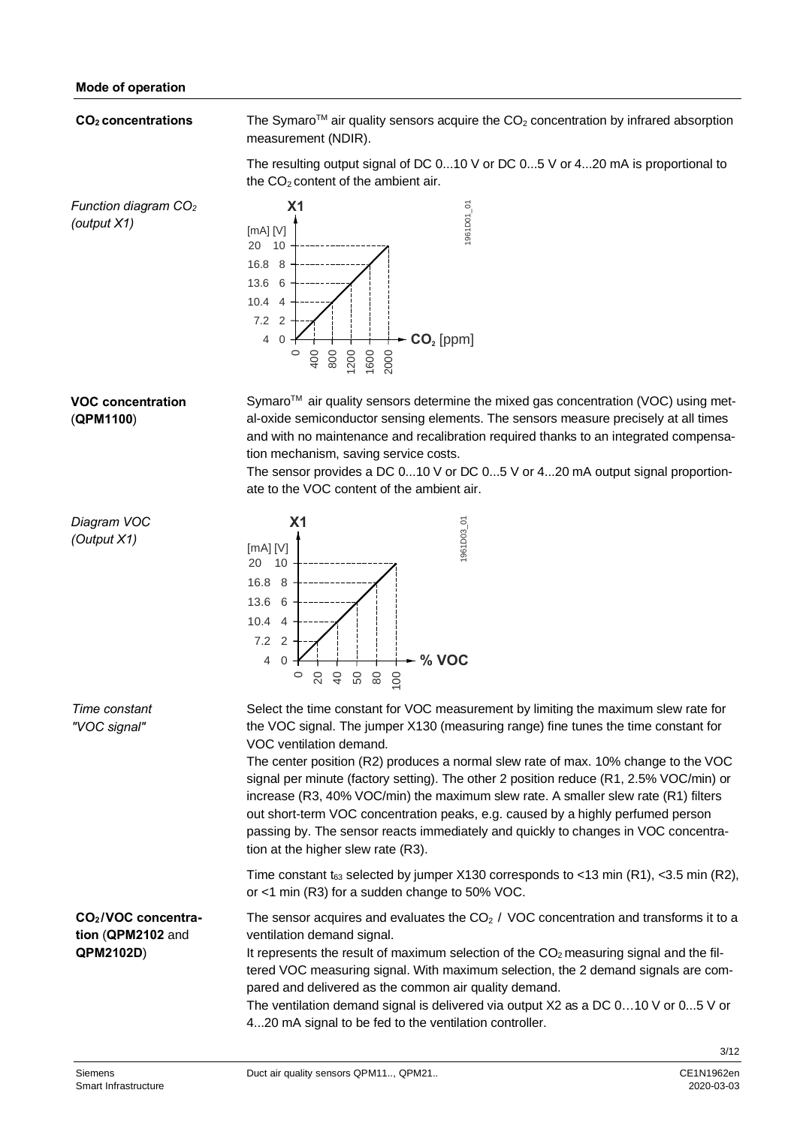#### **CO<sup>2</sup> concentrations**

The Symaro<sup>TM</sup> air quality sensors acquire the  $CO<sub>2</sub>$  concentration by infrared absorption measurement (NDIR).

The resulting output signal of DC 0...10 V or DC 0...5 V or 4...20 mA is proportional to the CO<sub>2</sub> content of the ambient air.

*Function diagram CO<sup>2</sup> (output X1)*



### **VOC concentration** (**QPM1100**)

Symaro<sup>™</sup> air quality sensors determine the mixed gas concentration (VOC) using metal-oxide semiconductor sensing elements. The sensors measure precisely at all times and with no maintenance and recalibration required thanks to an integrated compensation mechanism, saving service costs.

The sensor provides a DC 0...10 V or DC 0...5 V or 4...20 mA output signal proportionate to the VOC content of the ambient air.

**X1 % VOC** 10 8 6 4 2 0 020 40 50 80 100 1961D03\_01 [mA] [V] 20 16.8 13.6 10.4 7.2 4 Select the time constant for VOC measurement by limiting the maximum slew rate for the VOC signal. The jumper X130 (measuring range) fine tunes the time constant for VOC ventilation demand. The center position (R2) produces a normal slew rate of max. 10% change to the VOC signal per minute (factory setting). The other 2 position reduce (R1, 2.5% VOC/min) or increase (R3, 40% VOC/min) the maximum slew rate. A smaller slew rate (R1) filters out short-term VOC concentration peaks, e.g. caused by a highly perfumed person passing by. The sensor reacts immediately and quickly to changes in VOC concentration at the higher slew rate (R3). Time constant t63 selected by jumper X130 corresponds to <13 min (R1), <3.5 min (R2), or <1 min (R3) for a sudden change to 50% VOC. The sensor acquires and evaluates the CO<sup>2</sup> / VOC concentration and transforms it to a ventilation demand signal. It represents the result of maximum selection of the CO<sup>2</sup> measuring signal and the filtered VOC measuring signal. With maximum selection, the 2 demand signals are compared and delivered as the common air quality demand. The ventilation demand signal is delivered via output X2 as a DC 0…10 V or 0...5 V or 4...20 mA signal to be fed to the ventilation controller. *Diagram VOC (Output X1) Time constant "VOC signal"* **CO<sup>2</sup> /VOC concentration** (**QPM2102** and **QPM2102D**)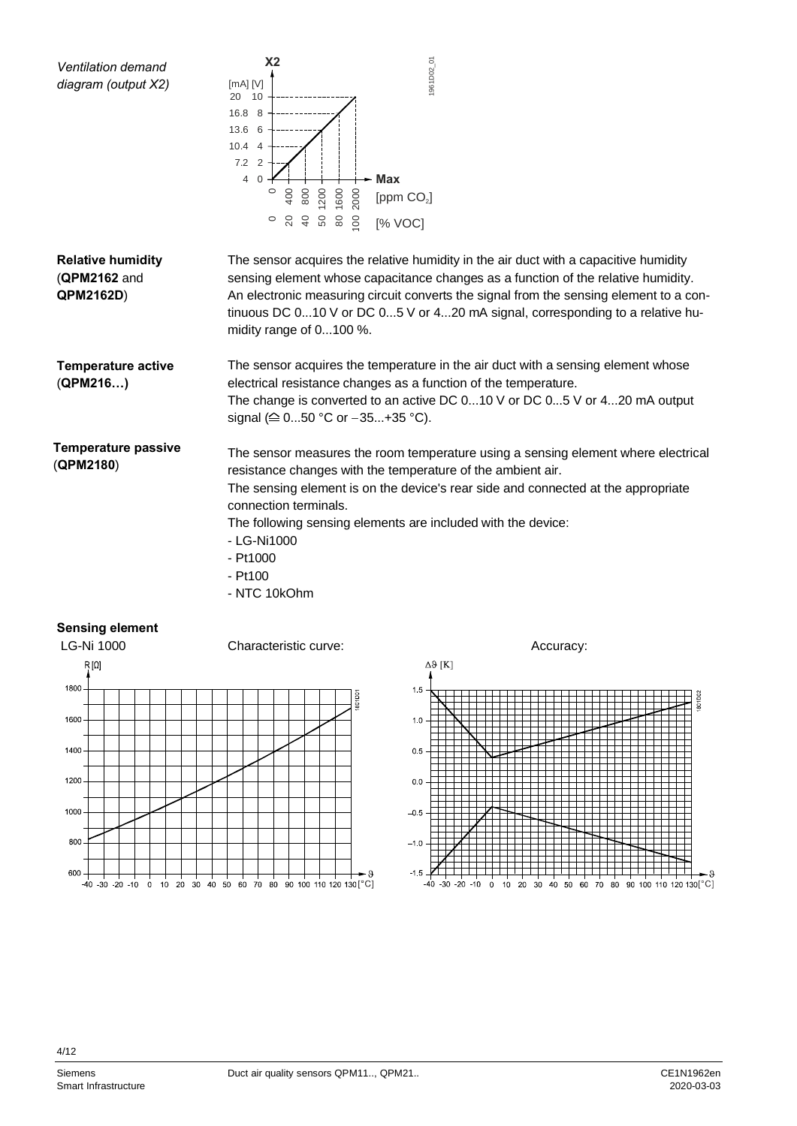

#### **Sensing element**



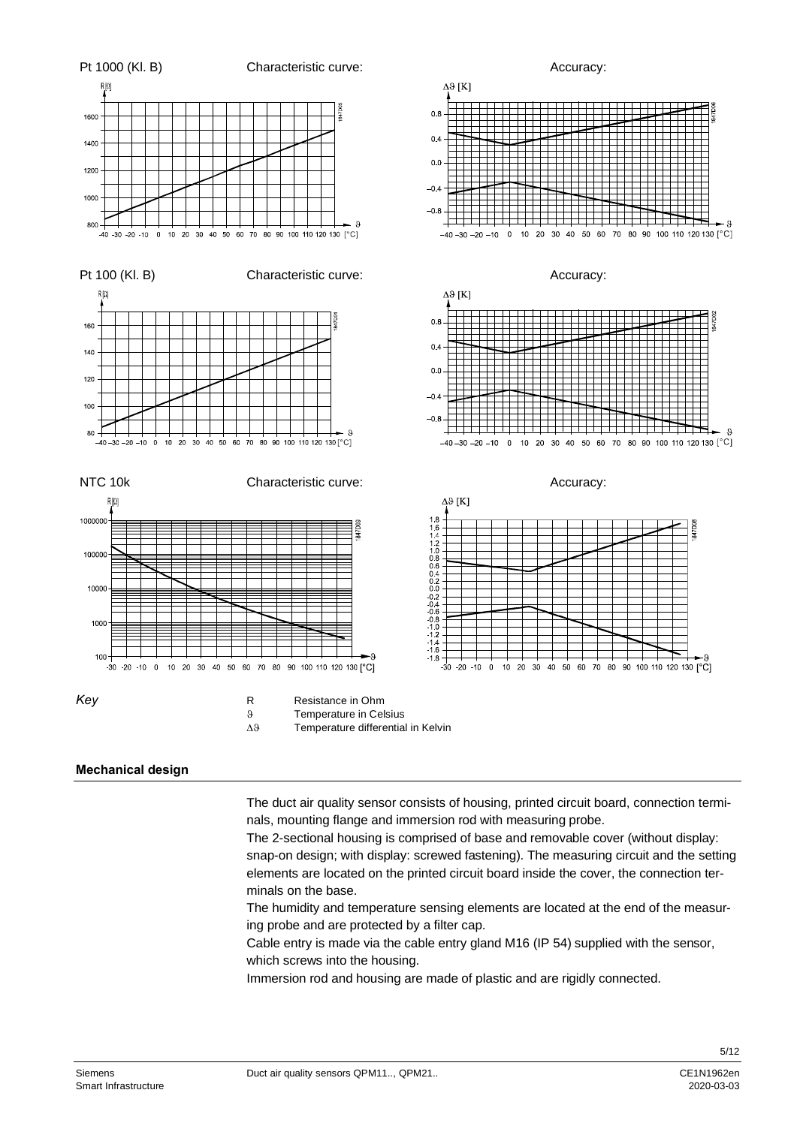

#### **Mechanical design**

The duct air quality sensor consists of housing, printed circuit board, connection terminals, mounting flange and immersion rod with measuring probe.

The 2-sectional housing is comprised of base and removable cover (without display: snap-on design; with display: screwed fastening). The measuring circuit and the setting elements are located on the printed circuit board inside the cover, the connection terminals on the base.

The humidity and temperature sensing elements are located at the end of the measuring probe and are protected by a filter cap.

Cable entry is made via the cable entry gland M16 (IP 54) supplied with the sensor, which screws into the housing.

Immersion rod and housing are made of plastic and are rigidly connected.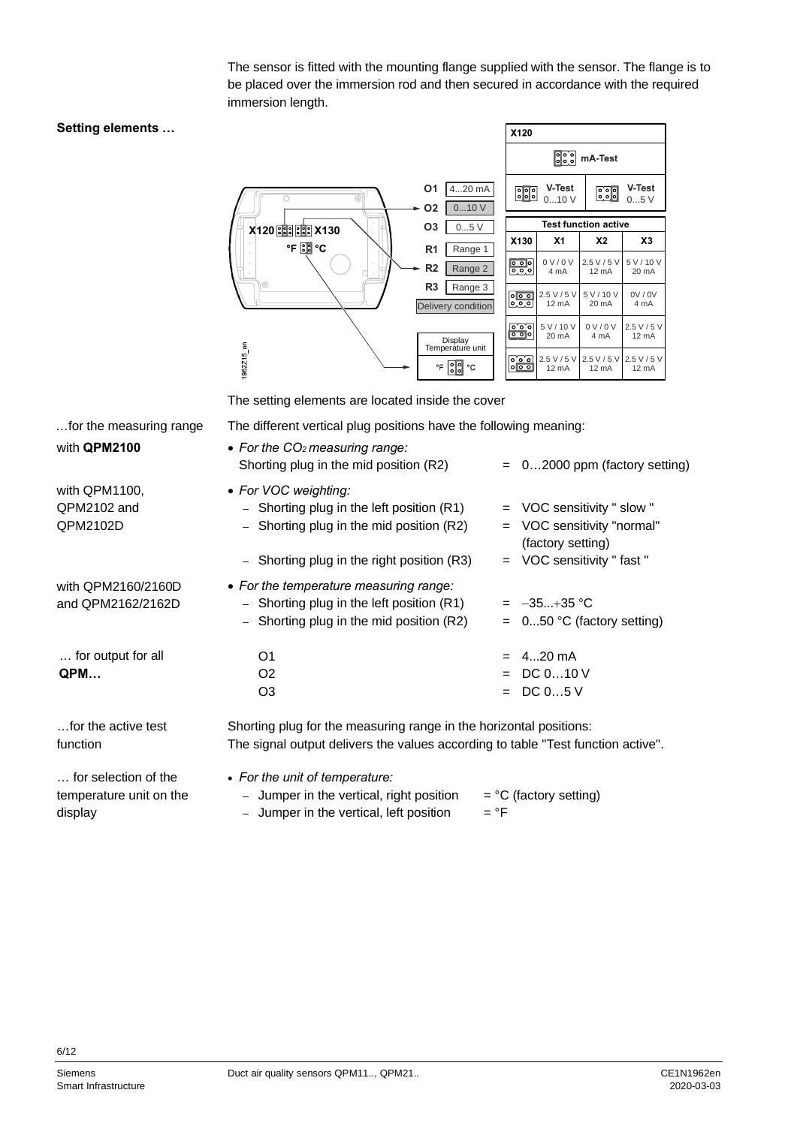The sensor is fitted with the mounting flange supplied with the sensor. The flange is to be placed over the immersion rod and then secured in accordance with the required immersion length.

#### **Setting elements …**

|                                                                        | X120                                                           |                                                                       |                             |                                |
|------------------------------------------------------------------------|----------------------------------------------------------------|-----------------------------------------------------------------------|-----------------------------|--------------------------------|
|                                                                        |                                                                | $\left  \begin{smallmatrix} 0 & 0 \\ 0 & 0 \end{smallmatrix} \right $ | mA-Test                     |                                |
| 420 mA<br>01<br>010V<br><b>O2</b>                                      | V-Test<br>V-Test<br>$\frac{1}{2}$<br><u>eed</u><br>010V<br>05V |                                                                       |                             |                                |
| O <sub>3</sub><br>05V<br>X120 88 88 X130                               |                                                                |                                                                       | <b>Test function active</b> |                                |
| $\circledcirc$<br>$\mathsf{P} \boxtimes \mathsf{C}$<br>R <sub>1</sub>  | X130                                                           | X <sub>1</sub>                                                        | X2                          | X3                             |
| Range 1<br>$^{(2)}$<br>ó<br>R <sub>2</sub><br>Range 2                  | $\overline{\phantom{0}}$<br>$\overline{\circ}$ .               | 0 V/0 V<br>4 mA                                                       | 2.5 V / 5 V<br>12 mA        | 5 V / 10 V<br>$20 \text{ mA}$  |
| $\odot$<br>R <sub>3</sub><br>Range 3<br>Delivery condition             | 0 0 0 <br>$\circ$ $\circ$ $\circ$                              | 2.5 V / 5 V<br>$12 \text{ mA}$                                        | 5 V / 10 V<br>20 mA         | 0V / 0V<br>4 mA                |
| Display<br>Temperature unit                                            | ० ० ०<br>$\overline{\mathbf{p}}$ or $\overline{\mathbf{p}}$    | 5 V / 10 V<br>20 mA                                                   | 0 V/0 V<br>4 mA             | 2.5 V / 5 V<br>$12 \text{ mA}$ |
| 1962Z15 en<br>$\cdot$ F $\left[\frac{1}{2}\right]$ $\frac{1}{2}$<br>°C | ೌ್<br> 0 0 0                                                   | $2.5$ V / 5 V<br>12 mA                                                | 2.5 V / 5 V<br>12 mA        | 2.5 V / 5 V<br>$12 \text{ mA}$ |

The setting elements are located inside the cover

The different vertical plug positions have the following meaning:

| for the measuring range                         | The different vertical plug positions have the following meaning:                                                                                           |                                                                                                            |
|-------------------------------------------------|-------------------------------------------------------------------------------------------------------------------------------------------------------------|------------------------------------------------------------------------------------------------------------|
| with QPM2100                                    | • For the $CO2$ measuring range:<br>Shorting plug in the mid position (R2)                                                                                  | $= 02000$ ppm (factory setting)                                                                            |
| with QPM1100,<br>QPM2102 and<br>QPM2102D        | • For VOC weighting:<br>- Shorting plug in the left position (R1)<br>- Shorting plug in the mid position (R2)<br>- Shorting plug in the right position (R3) | = VOC sensitivity " slow "<br>= VOC sensitivity "normal"<br>(factory setting)<br>= VOC sensitivity "fast " |
| with QPM2160/2160D<br>and QPM2162/2162D         | • For the temperature measuring range:<br>- Shorting plug in the left position (R1)<br>- Shorting plug in the mid position (R2)                             | $= -35+35$ °C<br>$= 050$ °C (factory setting)                                                              |
| for output for all<br>QPM                       | O <sub>1</sub><br>O <sub>2</sub><br>O <sub>3</sub>                                                                                                          | $= 420 \text{ mA}$<br>$=$ DC 010 V<br>$=$ DC 05 V                                                          |
| for the active test<br>function                 | Shorting plug for the measuring range in the horizontal positions:<br>The signal output delivers the values according to table "Test function active".      |                                                                                                            |
| for selection of the<br>temperature unit on the | • For the unit of temperature:<br>- Jumper in the vertical, right position                                                                                  | $=$ °C (factory setting)                                                                                   |

temperature unit on the display

– Jumper in the vertical, left position  $=$  °F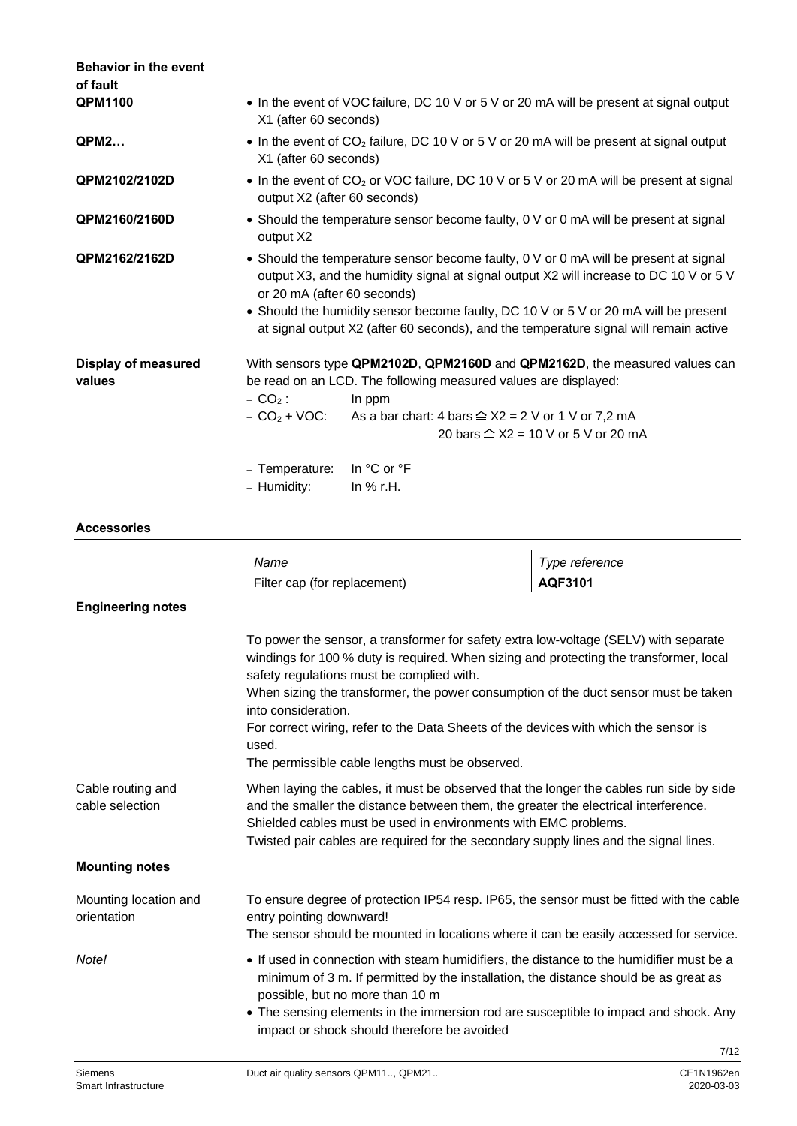| <b>Behavior in the event</b><br>of fault |                              |                                                                                                                                                                                                                                                                                                                                                                |
|------------------------------------------|------------------------------|----------------------------------------------------------------------------------------------------------------------------------------------------------------------------------------------------------------------------------------------------------------------------------------------------------------------------------------------------------------|
| <b>QPM1100</b>                           | X1 (after 60 seconds)        | • In the event of VOC failure, DC 10 V or 5 V or 20 mA will be present at signal output                                                                                                                                                                                                                                                                        |
| <b>QPM2</b>                              | X1 (after 60 seconds)        | • In the event of $CO2$ failure, DC 10 V or 5 V or 20 mA will be present at signal output                                                                                                                                                                                                                                                                      |
| QPM2102/2102D                            | output X2 (after 60 seconds) | • In the event of $CO2$ or VOC failure, DC 10 V or 5 V or 20 mA will be present at signal                                                                                                                                                                                                                                                                      |
| QPM2160/2160D                            | output X2                    | • Should the temperature sensor become faulty, 0 V or 0 mA will be present at signal                                                                                                                                                                                                                                                                           |
| QPM2162/2162D                            | or 20 mA (after 60 seconds)  | • Should the temperature sensor become faulty, 0 V or 0 mA will be present at signal<br>output X3, and the humidity signal at signal output X2 will increase to DC 10 V or 5 V<br>• Should the humidity sensor become faulty, DC 10 V or 5 V or 20 mA will be present<br>at signal output X2 (after 60 seconds), and the temperature signal will remain active |
| <b>Display of measured</b><br>values     | $- CO2$ :<br>- Temperature:  | With sensors type QPM2102D, QPM2160D and QPM2162D, the measured values can<br>be read on an LCD. The following measured values are displayed:<br>In ppm<br>$- CO2 + VOC$ : As a bar chart: 4 bars $\cong$ X2 = 2 V or 1 V or 7,2 mA<br>20 bars $\cong$ X2 = 10 V or 5 V or 20 mA<br>In $^{\circ}$ C or $^{\circ}$ F                                            |
|                                          | - Humidity:                  | In $%$ r.H.                                                                                                                                                                                                                                                                                                                                                    |

#### **Accessories**

|                                      | Name                                                                                                                                                                                                                                                                                                                                                                                                                                                                                          | Type reference |  |
|--------------------------------------|-----------------------------------------------------------------------------------------------------------------------------------------------------------------------------------------------------------------------------------------------------------------------------------------------------------------------------------------------------------------------------------------------------------------------------------------------------------------------------------------------|----------------|--|
|                                      | Filter cap (for replacement)                                                                                                                                                                                                                                                                                                                                                                                                                                                                  | AQF3101        |  |
| <b>Engineering notes</b>             |                                                                                                                                                                                                                                                                                                                                                                                                                                                                                               |                |  |
|                                      | To power the sensor, a transformer for safety extra low-voltage (SELV) with separate<br>windings for 100 % duty is required. When sizing and protecting the transformer, local<br>safety regulations must be complied with.<br>When sizing the transformer, the power consumption of the duct sensor must be taken<br>into consideration.<br>For correct wiring, refer to the Data Sheets of the devices with which the sensor is<br>used.<br>The permissible cable lengths must be observed. |                |  |
| Cable routing and<br>cable selection | When laying the cables, it must be observed that the longer the cables run side by side<br>and the smaller the distance between them, the greater the electrical interference.<br>Shielded cables must be used in environments with EMC problems.<br>Twisted pair cables are required for the secondary supply lines and the signal lines.                                                                                                                                                    |                |  |
| <b>Mounting notes</b>                |                                                                                                                                                                                                                                                                                                                                                                                                                                                                                               |                |  |
| Mounting location and<br>orientation | To ensure degree of protection IP54 resp. IP65, the sensor must be fitted with the cable<br>entry pointing downward!<br>The sensor should be mounted in locations where it can be easily accessed for service.                                                                                                                                                                                                                                                                                |                |  |
| Note!                                | • If used in connection with steam humidifiers, the distance to the humidifier must be a<br>minimum of 3 m. If permitted by the installation, the distance should be as great as<br>possible, but no more than 10 m<br>• The sensing elements in the immersion rod are susceptible to impact and shock. Any                                                                                                                                                                                   |                |  |
|                                      | impact or shock should therefore be avoided                                                                                                                                                                                                                                                                                                                                                                                                                                                   |                |  |
|                                      |                                                                                                                                                                                                                                                                                                                                                                                                                                                                                               | 7/12           |  |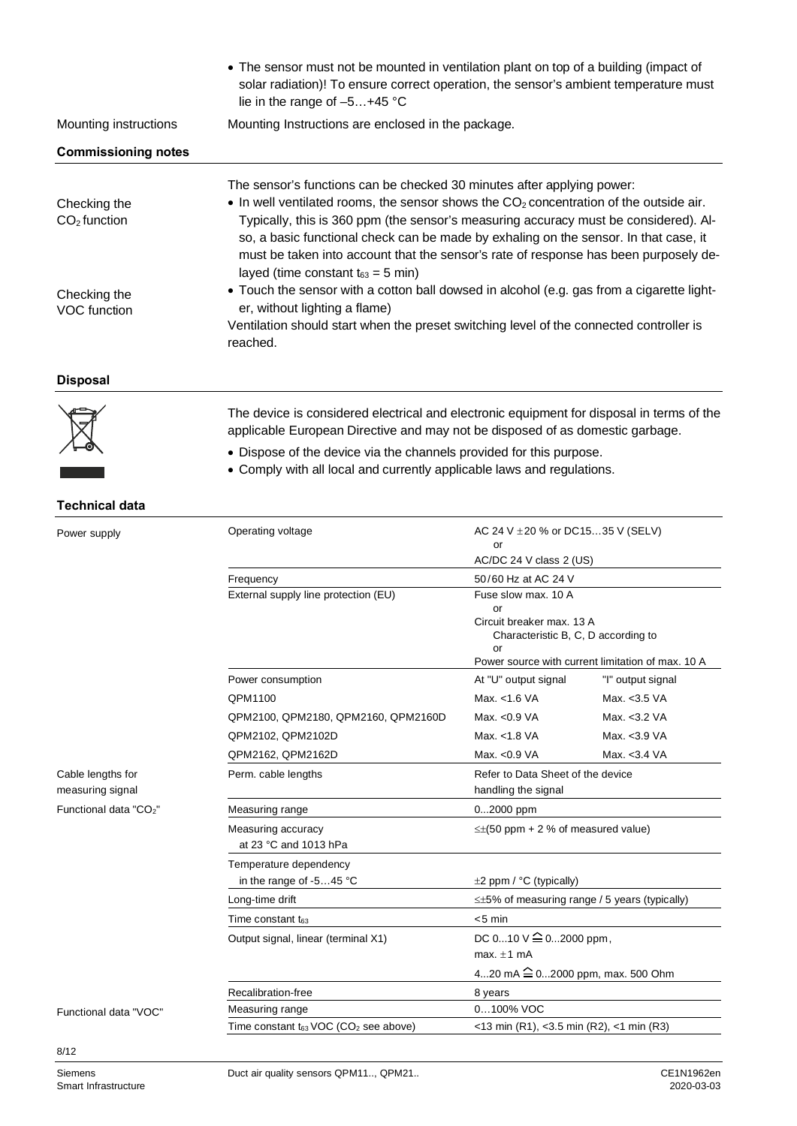|                                       | • The sensor must not be mounted in ventilation plant on top of a building (impact of<br>solar radiation)! To ensure correct operation, the sensor's ambient temperature must<br>lie in the range of $-5+45$ °C                                                                                                                                                                                                                                                                                        |                                                                                                                                   |                   |
|---------------------------------------|--------------------------------------------------------------------------------------------------------------------------------------------------------------------------------------------------------------------------------------------------------------------------------------------------------------------------------------------------------------------------------------------------------------------------------------------------------------------------------------------------------|-----------------------------------------------------------------------------------------------------------------------------------|-------------------|
| Mounting instructions                 | Mounting Instructions are enclosed in the package.                                                                                                                                                                                                                                                                                                                                                                                                                                                     |                                                                                                                                   |                   |
| <b>Commissioning notes</b>            |                                                                                                                                                                                                                                                                                                                                                                                                                                                                                                        |                                                                                                                                   |                   |
| Checking the<br>$CO2$ function        | The sensor's functions can be checked 30 minutes after applying power:<br>$\bullet$ In well ventilated rooms, the sensor shows the CO <sub>2</sub> concentration of the outside air.<br>Typically, this is 360 ppm (the sensor's measuring accuracy must be considered). Al-<br>so, a basic functional check can be made by exhaling on the sensor. In that case, it<br>must be taken into account that the sensor's rate of response has been purposely de-<br>layed (time constant $t_{63} = 5$ min) |                                                                                                                                   |                   |
| Checking the<br><b>VOC</b> function   | • Touch the sensor with a cotton ball dowsed in alcohol (e.g. gas from a cigarette light-<br>er, without lighting a flame)<br>Ventilation should start when the preset switching level of the connected controller is<br>reached.                                                                                                                                                                                                                                                                      |                                                                                                                                   |                   |
| <b>Disposal</b>                       |                                                                                                                                                                                                                                                                                                                                                                                                                                                                                                        |                                                                                                                                   |                   |
|                                       | The device is considered electrical and electronic equipment for disposal in terms of the<br>applicable European Directive and may not be disposed of as domestic garbage.                                                                                                                                                                                                                                                                                                                             |                                                                                                                                   |                   |
|                                       | • Dispose of the device via the channels provided for this purpose.<br>• Comply with all local and currently applicable laws and regulations.                                                                                                                                                                                                                                                                                                                                                          |                                                                                                                                   |                   |
| <b>Technical data</b>                 |                                                                                                                                                                                                                                                                                                                                                                                                                                                                                                        |                                                                                                                                   |                   |
| Power supply                          | Operating voltage                                                                                                                                                                                                                                                                                                                                                                                                                                                                                      | AC 24 V $\pm$ 20 % or DC1535 V (SELV)<br>or<br>AC/DC 24 V class 2 (US)                                                            |                   |
|                                       | Frequency                                                                                                                                                                                                                                                                                                                                                                                                                                                                                              | 50/60 Hz at AC 24 V                                                                                                               |                   |
|                                       | External supply line protection (EU)                                                                                                                                                                                                                                                                                                                                                                                                                                                                   | Fuse slow max. 10 A                                                                                                               |                   |
|                                       |                                                                                                                                                                                                                                                                                                                                                                                                                                                                                                        | or<br>Circuit breaker max, 13 A<br>Characteristic B, C, D according to<br>or<br>Power source with current limitation of max. 10 A |                   |
|                                       | Power consumption                                                                                                                                                                                                                                                                                                                                                                                                                                                                                      | At "U" output signal                                                                                                              | "I" output signal |
|                                       | QPM1100                                                                                                                                                                                                                                                                                                                                                                                                                                                                                                | Max. <1.6 VA                                                                                                                      | Max. < 3.5 VA     |
|                                       | QPM2100, QPM2180, QPM2160, QPM2160D                                                                                                                                                                                                                                                                                                                                                                                                                                                                    | Max. < 0.9 VA                                                                                                                     | Max. <3.2 VA      |
|                                       | QPM2102, QPM2102D                                                                                                                                                                                                                                                                                                                                                                                                                                                                                      | Max. < 1.8 VA                                                                                                                     | Max. < 3.9 VA     |
|                                       | QPM2162, QPM2162D                                                                                                                                                                                                                                                                                                                                                                                                                                                                                      | Max. < 0.9 VA                                                                                                                     | Max. < 3.4 VA     |
| Cable lengths for<br>measuring signal | Perm. cable lengths                                                                                                                                                                                                                                                                                                                                                                                                                                                                                    | Refer to Data Sheet of the device<br>handling the signal                                                                          |                   |
| Functional data "CO <sub>2</sub> "    | Measuring range                                                                                                                                                                                                                                                                                                                                                                                                                                                                                        | 02000 ppm                                                                                                                         |                   |
|                                       | Measuring accuracy<br>at 23 °C and 1013 hPa                                                                                                                                                                                                                                                                                                                                                                                                                                                            | $\leq \pm (50$ ppm + 2 % of measured value)                                                                                       |                   |
|                                       | Temperature dependency<br>in the range of -545 °C                                                                                                                                                                                                                                                                                                                                                                                                                                                      | $\pm 2$ ppm / °C (typically)                                                                                                      |                   |
|                                       | Long-time drift                                                                                                                                                                                                                                                                                                                                                                                                                                                                                        | $\leq$ ±5% of measuring range / 5 years (typically)                                                                               |                   |
|                                       | Time constant $t_{63}$                                                                                                                                                                                                                                                                                                                                                                                                                                                                                 | $< 5$ min                                                                                                                         |                   |
|                                       | Output signal, linear (terminal X1)                                                                                                                                                                                                                                                                                                                                                                                                                                                                    | DC 010 V $\hat{=}$ 02000 ppm,                                                                                                     |                   |
|                                       |                                                                                                                                                                                                                                                                                                                                                                                                                                                                                                        | max. $\pm 1$ mA<br>420 mA $\hat{=}$ 02000 ppm, max. 500 Ohm                                                                       |                   |
|                                       | Recalibration-free                                                                                                                                                                                                                                                                                                                                                                                                                                                                                     | 8 years                                                                                                                           |                   |
| Functional data "VOC"                 | 0100% VOC<br>Measuring range                                                                                                                                                                                                                                                                                                                                                                                                                                                                           |                                                                                                                                   |                   |
|                                       | Time constant t63 VOC (CO2 see above)                                                                                                                                                                                                                                                                                                                                                                                                                                                                  | <13 min (R1), <3.5 min (R2), <1 min (R3)                                                                                          |                   |
| 8/12                                  |                                                                                                                                                                                                                                                                                                                                                                                                                                                                                                        |                                                                                                                                   |                   |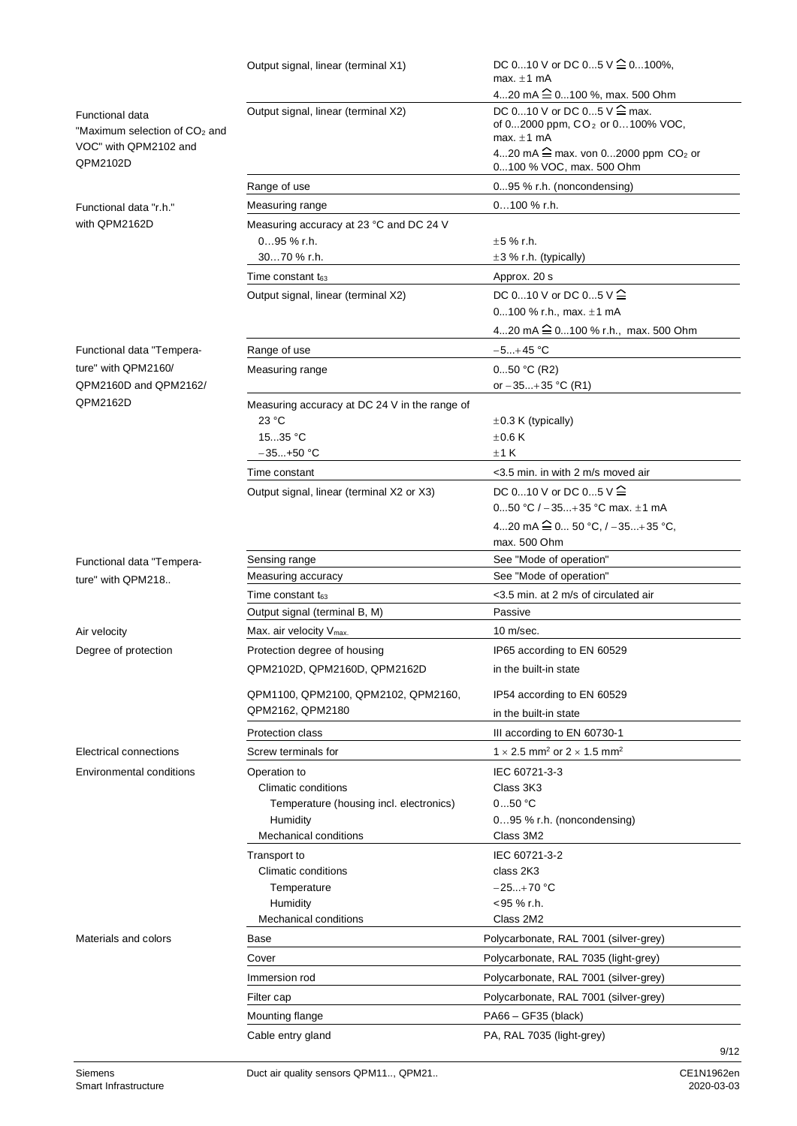|                                                                                              | Output signal, linear (terminal X1)                            | DC 010 V or DC 05 V $\cong$ 0100%,<br>max. $\pm 1$ mA                                                   |
|----------------------------------------------------------------------------------------------|----------------------------------------------------------------|---------------------------------------------------------------------------------------------------------|
|                                                                                              |                                                                | 420 mA <sup>2</sup> 0100 %, max. 500 Ohm                                                                |
| <b>Functional data</b><br>"Maximum selection of CO <sub>2</sub> and<br>VOC" with QPM2102 and | Output signal, linear (terminal X2)                            | DC 010 V or DC 05 V <sup>2</sup> max.<br>of 02000 ppm, CO <sub>2</sub> or 0100% VOC,<br>max. $\pm 1$ mA |
| QPM2102D                                                                                     |                                                                | 420 mA $\cong$ max. von 02000 ppm CO <sub>2</sub> or<br>0100 % VOC, max. 500 Ohm                        |
|                                                                                              | Range of use                                                   | 095 % r.h. (noncondensing)                                                                              |
| Functional data "r.h."                                                                       | Measuring range                                                | $0100 \%$ r.h.                                                                                          |
| with QPM2162D                                                                                | Measuring accuracy at 23 °C and DC 24 V<br>095 % r.h.          | $\pm$ 5 % r.h.                                                                                          |
|                                                                                              | 3070 % r.h.                                                    | $\pm 3$ % r.h. (typically)                                                                              |
|                                                                                              | Time constant t <sub>63</sub>                                  | Approx. 20 s                                                                                            |
|                                                                                              | Output signal, linear (terminal X2)                            | DC 010 V or DC 05 $V \triangleq$<br>0100 % r.h., max. $\pm$ 1 mA                                        |
|                                                                                              |                                                                | 420 mA $\cong$ 0100 % r.h., max. 500 Ohm                                                                |
| Functional data "Tempera-                                                                    | Range of use                                                   | $-5+45$ °C                                                                                              |
| ture" with QPM2160/                                                                          | Measuring range                                                | $050$ °C (R2)                                                                                           |
| OPM2160D and OPM2162/                                                                        |                                                                | or $-35+35$ °C (R1)                                                                                     |
| QPM2162D                                                                                     | Measuring accuracy at DC 24 V in the range of                  |                                                                                                         |
|                                                                                              | 23 °C                                                          | $\pm 0.3$ K (typically)                                                                                 |
|                                                                                              | 1535 °C                                                        | $+0.6K$                                                                                                 |
|                                                                                              | $-35+50$ °C                                                    | ±1K                                                                                                     |
|                                                                                              | Time constant                                                  | <3.5 min. in with 2 m/s moved air                                                                       |
|                                                                                              | Output signal, linear (terminal X2 or X3)                      | DC 010 V or DC 05 $V \stackrel{\frown}{=}$                                                              |
|                                                                                              |                                                                | 050 °C / $-35+35$ °C max, $\pm$ 1 mA                                                                    |
|                                                                                              |                                                                | 420 mA $\widehat{=}$ 0 50 °C, / -35+35 °C,                                                              |
|                                                                                              |                                                                | max. 500 Ohm                                                                                            |
| Functional data "Tempera-                                                                    | Sensing range<br>Measuring accuracy                            | See "Mode of operation"<br>See "Mode of operation"                                                      |
| ture" with QPM218                                                                            |                                                                |                                                                                                         |
|                                                                                              | Time constant t <sub>63</sub><br>Output signal (terminal B, M) | <3.5 min. at 2 m/s of circulated air<br>Passive                                                         |
|                                                                                              |                                                                |                                                                                                         |
| Air velocity                                                                                 | Max. air velocity V <sub>max.</sub>                            | $10 \text{ m/sec}.$                                                                                     |
| Degree of protection                                                                         | Protection degree of housing                                   | IP65 according to EN 60529                                                                              |
|                                                                                              | QPM2102D, QPM2160D, QPM2162D                                   | in the built-in state                                                                                   |
|                                                                                              | QPM1100, QPM2100, QPM2102, QPM2160,                            | IP54 according to EN 60529                                                                              |
|                                                                                              | QPM2162, QPM2180                                               | in the built-in state                                                                                   |
|                                                                                              | <b>Protection class</b>                                        | III according to EN 60730-1                                                                             |
| <b>Electrical connections</b>                                                                | Screw terminals for                                            | 1 $\times$ 2.5 mm <sup>2</sup> or 2 $\times$ 1.5 mm <sup>2</sup>                                        |
| Environmental conditions                                                                     | Operation to                                                   | IEC 60721-3-3                                                                                           |
|                                                                                              | <b>Climatic conditions</b>                                     | Class 3K3                                                                                               |
|                                                                                              | Temperature (housing incl. electronics)                        | 050 °C                                                                                                  |
|                                                                                              | Humidity                                                       | $095$ % r.h. (noncondensing)                                                                            |
|                                                                                              | <b>Mechanical conditions</b>                                   | Class 3M2                                                                                               |
|                                                                                              | Transport to                                                   | IEC 60721-3-2                                                                                           |
|                                                                                              | Climatic conditions<br>Temperature                             | class 2K3<br>$-25+70 °C$                                                                                |
|                                                                                              | Humidity                                                       | <95 % r.h.                                                                                              |
|                                                                                              | Mechanical conditions                                          | Class 2M2                                                                                               |
| Materials and colors                                                                         | Base                                                           | Polycarbonate, RAL 7001 (silver-grey)                                                                   |
|                                                                                              | Cover                                                          | Polycarbonate, RAL 7035 (light-grey)                                                                    |
|                                                                                              |                                                                | Polycarbonate, RAL 7001 (silver-grey)                                                                   |
|                                                                                              | Immersion rod                                                  |                                                                                                         |
|                                                                                              | Filter cap                                                     | Polycarbonate, RAL 7001 (silver-grey)                                                                   |
|                                                                                              | Mounting flange                                                | PA66 - GF35 (black)                                                                                     |
|                                                                                              | Cable entry gland                                              | PA, RAL 7035 (light-grey)                                                                               |
|                                                                                              |                                                                | 9/12                                                                                                    |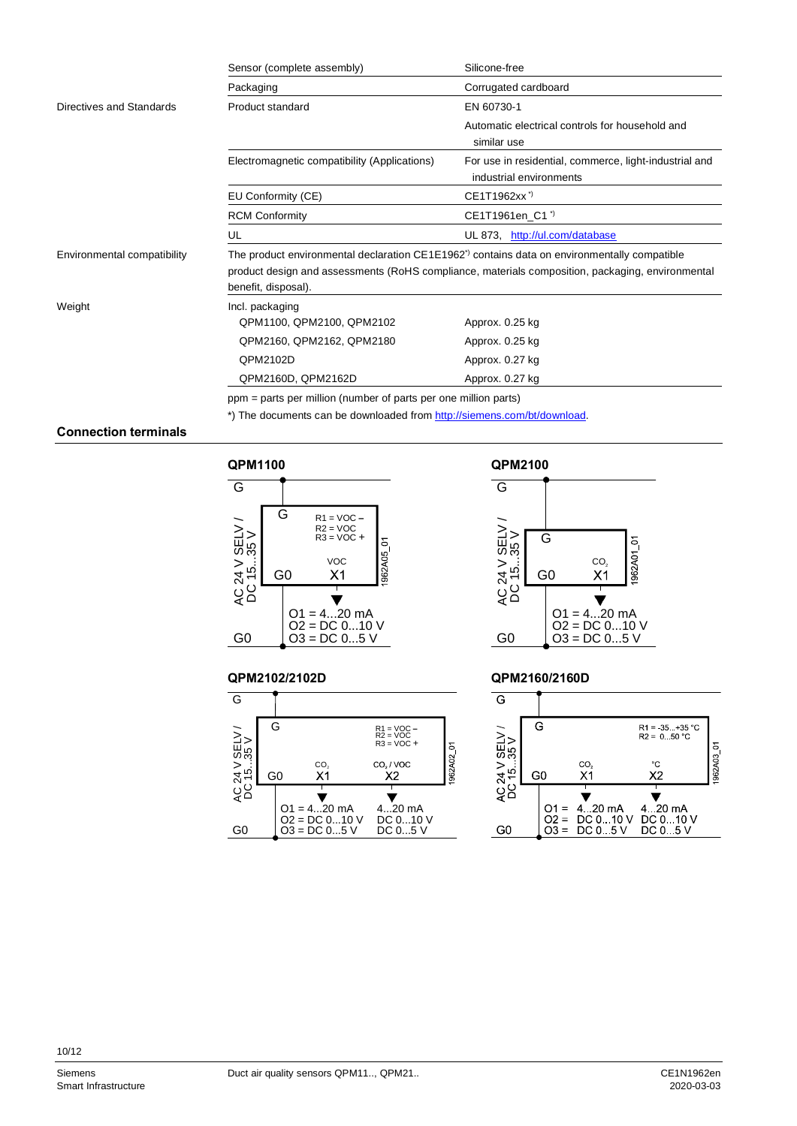|                             | Sensor (complete assembly)                                                                                                                                                                                                         | Silicone-free                                                                     |  |
|-----------------------------|------------------------------------------------------------------------------------------------------------------------------------------------------------------------------------------------------------------------------------|-----------------------------------------------------------------------------------|--|
|                             | Packaging                                                                                                                                                                                                                          | Corrugated cardboard                                                              |  |
| Directives and Standards    | Product standard                                                                                                                                                                                                                   | EN 60730-1                                                                        |  |
|                             |                                                                                                                                                                                                                                    | Automatic electrical controls for household and<br>similar use                    |  |
|                             | Electromagnetic compatibility (Applications)                                                                                                                                                                                       | For use in residential, commerce, light-industrial and<br>industrial environments |  |
|                             | EU Conformity (CE)                                                                                                                                                                                                                 | CE1T1962xx <sup>3</sup>                                                           |  |
|                             | <b>RCM Conformity</b>                                                                                                                                                                                                              | CE1T1961en C1 <sup>"</sup>                                                        |  |
|                             | UL                                                                                                                                                                                                                                 | UL 873, http://ul.com/database                                                    |  |
| Environmental compatibility | The product environmental declaration CE1E1962 <sup>*</sup> contains data on environmentally compatible<br>product design and assessments (RoHS compliance, materials composition, packaging, environmental<br>benefit, disposal). |                                                                                   |  |
| Weight                      | Incl. packaging<br>QPM1100, QPM2100, QPM2102                                                                                                                                                                                       | Approx. 0.25 kg                                                                   |  |
|                             | QPM2160, QPM2162, QPM2180                                                                                                                                                                                                          | Approx. 0.25 kg                                                                   |  |
|                             | QPM2102D                                                                                                                                                                                                                           | Approx. 0.27 kg                                                                   |  |
|                             | QPM2160D, QPM2162D                                                                                                                                                                                                                 | Approx. 0.27 kg                                                                   |  |

ppm = parts per million (number of parts per one million parts)

\*) The documents can be downloaded from [http://siemens.com/bt/download.](http://siemens.com/bt/download)

#### **Connection terminals**







#### $\overline{\mathsf{G}}$ AC 24 V SELV /<br>DC 15...35 V AC 24 V SELV /  $\overline{\mathsf{G}}$ 1962A01\_01  $CO<sub>2</sub>$ <br> $X1$ G0  $\blacktriangledown$  $O1 = 4...20$  mA O2 = DC 0...10 V G0  $O3 = DC 0...5 V$

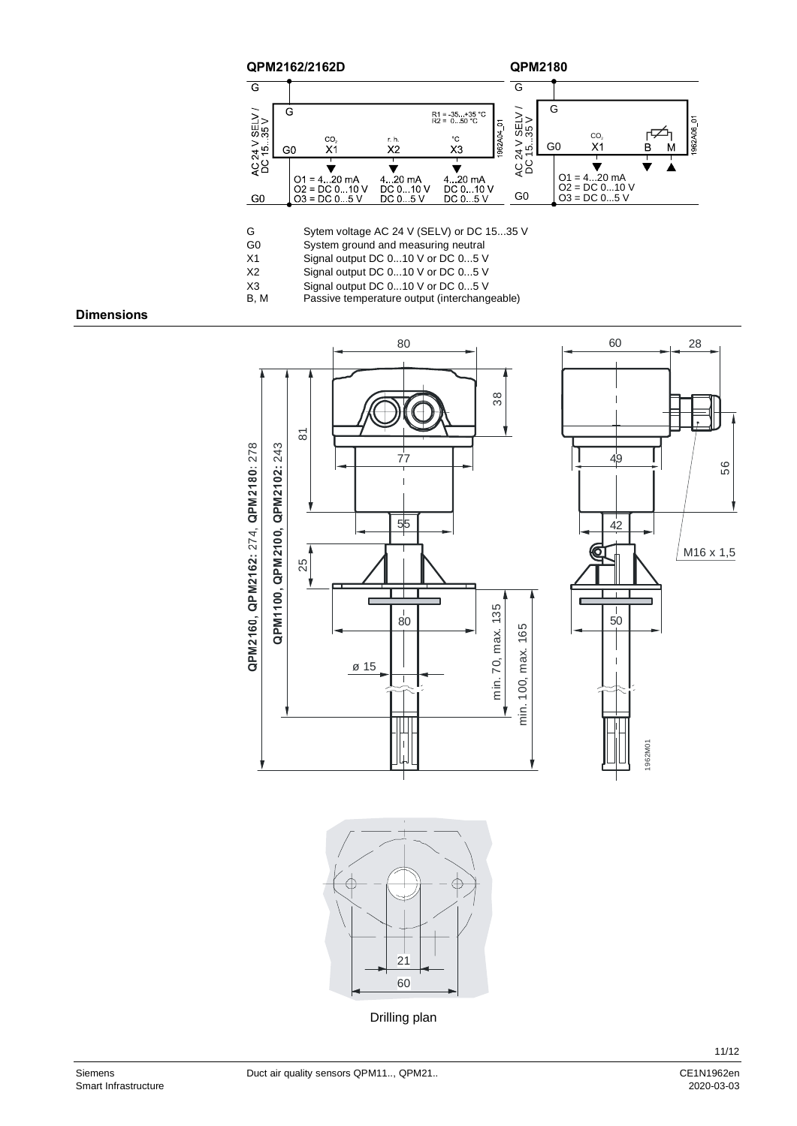

G Sytem voltage AC 24 V (SELV) or DC 15...35 V<br>G0 System ground and measuring neutral

System ground and measuring neutral

X1 Signal output DC 0...10 V or DC 0...5 V<br>X2 Signal output DC 0...10 V or DC 0...5 V

- X2 Signal output DC 0...10 V or DC 0...5 V<br>X3 Signal output DC 0...10 V or DC 0...5 V
- X3 Signal output DC 0...10 V or DC 0...5 V<br>B, M Passive temperature output (interchang Passive temperature output (interchangeable)

#### **Dimensions**







Drilling plan